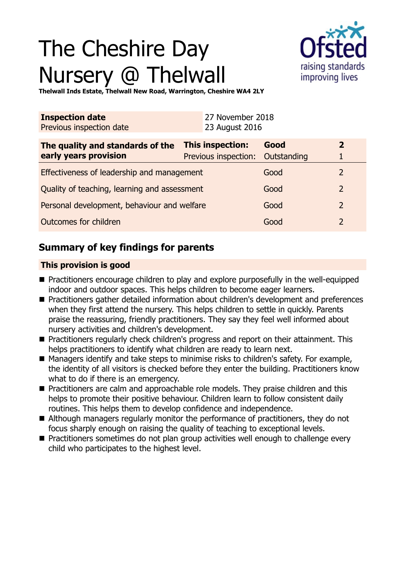# The Cheshire Day Nursery @ Thelwall



**Thelwall Inds Estate, Thelwall New Road, Warrington, Cheshire WA4 2LY**

| <b>Inspection date</b><br>Previous inspection date        | 27 November 2018<br>23 August 2016                          |      |                |
|-----------------------------------------------------------|-------------------------------------------------------------|------|----------------|
| The quality and standards of the<br>early years provision | <b>This inspection:</b><br>Previous inspection: Outstanding | Good | $\mathbf{2}$   |
| Effectiveness of leadership and management                |                                                             | Good | $\mathcal{P}$  |
| Quality of teaching, learning and assessment              |                                                             | Good | $\overline{2}$ |
| Personal development, behaviour and welfare               |                                                             | Good | $\overline{2}$ |
| Outcomes for children                                     |                                                             | Good | 2              |

## **Summary of key findings for parents**

## **This provision is good**

- Practitioners encourage children to play and explore purposefully in the well-equipped indoor and outdoor spaces. This helps children to become eager learners.
- Practitioners gather detailed information about children's development and preferences when they first attend the nursery. This helps children to settle in quickly. Parents praise the reassuring, friendly practitioners. They say they feel well informed about nursery activities and children's development.
- Practitioners regularly check children's progress and report on their attainment. This helps practitioners to identify what children are ready to learn next.
- Managers identify and take steps to minimise risks to children's safety. For example, the identity of all visitors is checked before they enter the building. Practitioners know what to do if there is an emergency.
- Practitioners are calm and approachable role models. They praise children and this helps to promote their positive behaviour. Children learn to follow consistent daily routines. This helps them to develop confidence and independence.
- Although managers regularly monitor the performance of practitioners, they do not focus sharply enough on raising the quality of teaching to exceptional levels.
- Practitioners sometimes do not plan group activities well enough to challenge every child who participates to the highest level.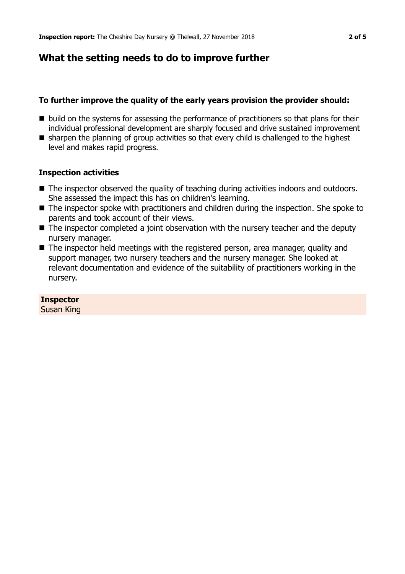## **What the setting needs to do to improve further**

## **To further improve the quality of the early years provision the provider should:**

- $\blacksquare$  build on the systems for assessing the performance of practitioners so that plans for their individual professional development are sharply focused and drive sustained improvement
- $\blacksquare$  sharpen the planning of group activities so that every child is challenged to the highest level and makes rapid progress.

## **Inspection activities**

- The inspector observed the quality of teaching during activities indoors and outdoors. She assessed the impact this has on children's learning.
- The inspector spoke with practitioners and children during the inspection. She spoke to parents and took account of their views.
- $\blacksquare$  The inspector completed a joint observation with the nursery teacher and the deputy nursery manager.
- $\blacksquare$  The inspector held meetings with the registered person, area manager, quality and support manager, two nursery teachers and the nursery manager. She looked at relevant documentation and evidence of the suitability of practitioners working in the nursery.

## **Inspector**

Susan King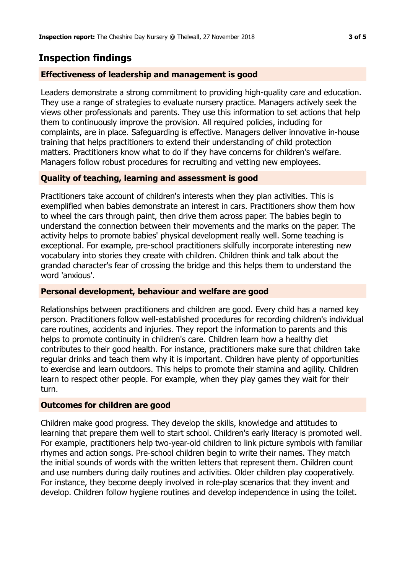## **Inspection findings**

## **Effectiveness of leadership and management is good**

Leaders demonstrate a strong commitment to providing high-quality care and education. They use a range of strategies to evaluate nursery practice. Managers actively seek the views other professionals and parents. They use this information to set actions that help them to continuously improve the provision. All required policies, including for complaints, are in place. Safeguarding is effective. Managers deliver innovative in-house training that helps practitioners to extend their understanding of child protection matters. Practitioners know what to do if they have concerns for children's welfare. Managers follow robust procedures for recruiting and vetting new employees.

## **Quality of teaching, learning and assessment is good**

Practitioners take account of children's interests when they plan activities. This is exemplified when babies demonstrate an interest in cars. Practitioners show them how to wheel the cars through paint, then drive them across paper. The babies begin to understand the connection between their movements and the marks on the paper. The activity helps to promote babies' physical development really well. Some teaching is exceptional. For example, pre-school practitioners skilfully incorporate interesting new vocabulary into stories they create with children. Children think and talk about the grandad character's fear of crossing the bridge and this helps them to understand the word 'anxious'.

## **Personal development, behaviour and welfare are good**

Relationships between practitioners and children are good. Every child has a named key person. Practitioners follow well-established procedures for recording children's individual care routines, accidents and injuries. They report the information to parents and this helps to promote continuity in children's care. Children learn how a healthy diet contributes to their good health. For instance, practitioners make sure that children take regular drinks and teach them why it is important. Children have plenty of opportunities to exercise and learn outdoors. This helps to promote their stamina and agility. Children learn to respect other people. For example, when they play games they wait for their turn.

## **Outcomes for children are good**

Children make good progress. They develop the skills, knowledge and attitudes to learning that prepare them well to start school. Children's early literacy is promoted well. For example, practitioners help two-year-old children to link picture symbols with familiar rhymes and action songs. Pre-school children begin to write their names. They match the initial sounds of words with the written letters that represent them. Children count and use numbers during daily routines and activities. Older children play cooperatively. For instance, they become deeply involved in role-play scenarios that they invent and develop. Children follow hygiene routines and develop independence in using the toilet.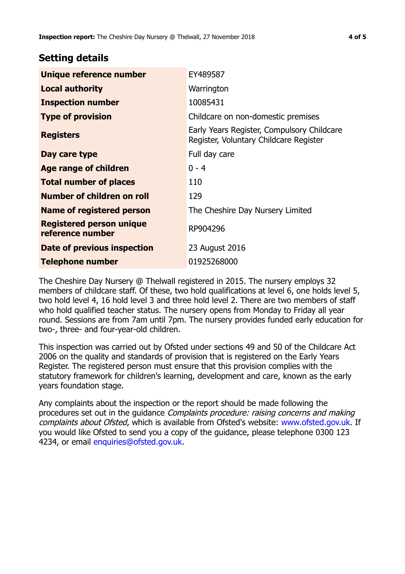## **Setting details**

| Unique reference number                             | EY489587                                                                             |  |
|-----------------------------------------------------|--------------------------------------------------------------------------------------|--|
| <b>Local authority</b>                              | Warrington                                                                           |  |
| <b>Inspection number</b>                            | 10085431                                                                             |  |
| <b>Type of provision</b>                            | Childcare on non-domestic premises                                                   |  |
| <b>Registers</b>                                    | Early Years Register, Compulsory Childcare<br>Register, Voluntary Childcare Register |  |
| Day care type                                       | Full day care                                                                        |  |
| <b>Age range of children</b>                        | $0 - 4$                                                                              |  |
| <b>Total number of places</b>                       | 110                                                                                  |  |
| Number of children on roll                          | 129                                                                                  |  |
| Name of registered person                           | The Cheshire Day Nursery Limited                                                     |  |
| <b>Registered person unique</b><br>reference number | RP904296                                                                             |  |
| Date of previous inspection                         | 23 August 2016                                                                       |  |
| <b>Telephone number</b>                             | 01925268000                                                                          |  |

The Cheshire Day Nursery @ Thelwall registered in 2015. The nursery employs 32 members of childcare staff. Of these, two hold qualifications at level 6, one holds level 5, two hold level 4, 16 hold level 3 and three hold level 2. There are two members of staff who hold qualified teacher status. The nursery opens from Monday to Friday all year round. Sessions are from 7am until 7pm. The nursery provides funded early education for two-, three- and four-year-old children.

This inspection was carried out by Ofsted under sections 49 and 50 of the Childcare Act 2006 on the quality and standards of provision that is registered on the Early Years Register. The registered person must ensure that this provision complies with the statutory framework for children's learning, development and care, known as the early years foundation stage.

Any complaints about the inspection or the report should be made following the procedures set out in the guidance Complaints procedure: raising concerns and making complaints about Ofsted, which is available from Ofsted's website: www.ofsted.gov.uk. If you would like Ofsted to send you a copy of the guidance, please telephone 0300 123 4234, or email [enquiries@ofsted.gov.uk.](mailto:enquiries@ofsted.gov.uk)